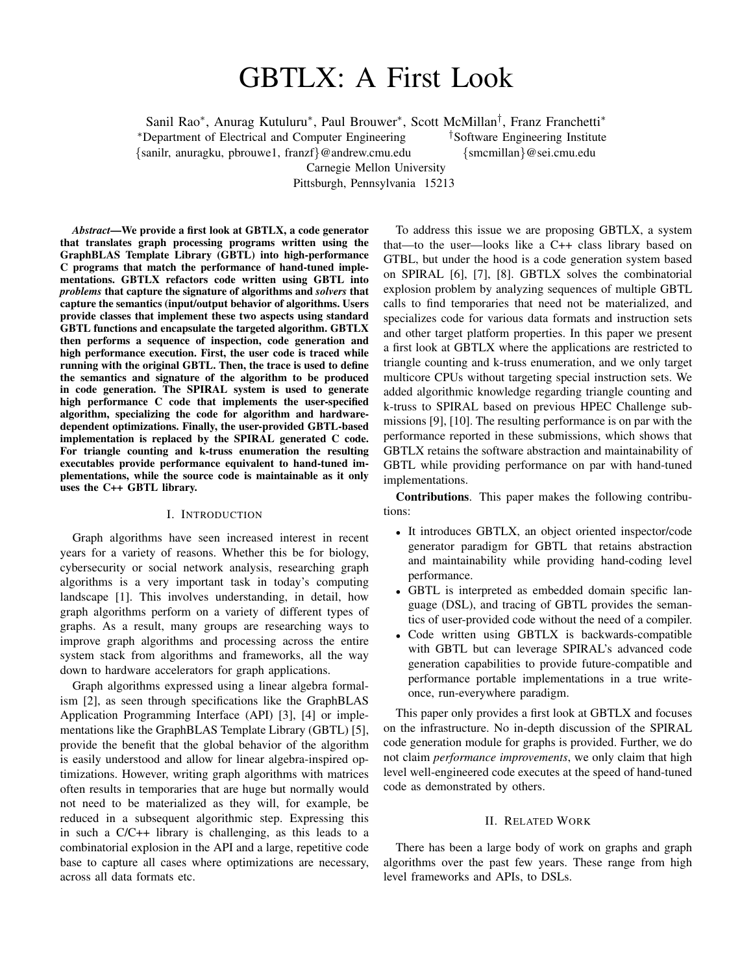# GBTLX: A First Look

Sanil Rao<sup>∗</sup>, Anurag Kutuluru<sup>∗</sup>, Paul Brouwer<sup>∗</sup>, Scott McMillan<sup>†</sup>, Franz Franchetti<sup>∗</sup>

<sup>∗</sup>Department of Electrical and Computer Engineering †Software Engineering Institute

{sanilr, anuragku, pbrouwe1, franzf}@andrew.cmu.edu {smcmillan}@sei.cmu.edu

Carnegie Mellon University

Pittsburgh, Pennsylvania 15213

*Abstract*—We provide a first look at GBTLX, a code generator that translates graph processing programs written using the GraphBLAS Template Library (GBTL) into high-performance C programs that match the performance of hand-tuned implementations. GBTLX refactors code written using GBTL into *problems* that capture the signature of algorithms and *solvers* that capture the semantics (input/output behavior of algorithms. Users provide classes that implement these two aspects using standard GBTL functions and encapsulate the targeted algorithm. GBTLX then performs a sequence of inspection, code generation and high performance execution. First, the user code is traced while running with the original GBTL. Then, the trace is used to define the semantics and signature of the algorithm to be produced in code generation. The SPIRAL system is used to generate high performance C code that implements the user-specified algorithm, specializing the code for algorithm and hardwaredependent optimizations. Finally, the user-provided GBTL-based implementation is replaced by the SPIRAL generated C code. For triangle counting and k-truss enumeration the resulting executables provide performance equivalent to hand-tuned implementations, while the source code is maintainable as it only uses the C++ GBTL library.

#### I. INTRODUCTION

Graph algorithms have seen increased interest in recent years for a variety of reasons. Whether this be for biology, cybersecurity or social network analysis, researching graph algorithms is a very important task in today's computing landscape [1]. This involves understanding, in detail, how graph algorithms perform on a variety of different types of graphs. As a result, many groups are researching ways to improve graph algorithms and processing across the entire system stack from algorithms and frameworks, all the way down to hardware accelerators for graph applications.

Graph algorithms expressed using a linear algebra formalism [2], as seen through specifications like the GraphBLAS Application Programming Interface (API) [3], [4] or implementations like the GraphBLAS Template Library (GBTL) [5], provide the benefit that the global behavior of the algorithm is easily understood and allow for linear algebra-inspired optimizations. However, writing graph algorithms with matrices often results in temporaries that are huge but normally would not need to be materialized as they will, for example, be reduced in a subsequent algorithmic step. Expressing this in such a C/C++ library is challenging, as this leads to a combinatorial explosion in the API and a large, repetitive code base to capture all cases where optimizations are necessary, across all data formats etc.

To address this issue we are proposing GBTLX, a system that—to the user—looks like a C++ class library based on GTBL, but under the hood is a code generation system based on SPIRAL [6], [7], [8]. GBTLX solves the combinatorial explosion problem by analyzing sequences of multiple GBTL calls to find temporaries that need not be materialized, and specializes code for various data formats and instruction sets and other target platform properties. In this paper we present a first look at GBTLX where the applications are restricted to triangle counting and k-truss enumeration, and we only target multicore CPUs without targeting special instruction sets. We added algorithmic knowledge regarding triangle counting and k-truss to SPIRAL based on previous HPEC Challenge submissions [9], [10]. The resulting performance is on par with the performance reported in these submissions, which shows that GBTLX retains the software abstraction and maintainability of GBTL while providing performance on par with hand-tuned implementations.

Contributions. This paper makes the following contributions:

- It introduces GBTLX, an object oriented inspector/code generator paradigm for GBTL that retains abstraction and maintainability while providing hand-coding level performance.
- GBTL is interpreted as embedded domain specific language (DSL), and tracing of GBTL provides the semantics of user-provided code without the need of a compiler.
- Code written using GBTLX is backwards-compatible with GBTL but can leverage SPIRAL's advanced code generation capabilities to provide future-compatible and performance portable implementations in a true writeonce, run-everywhere paradigm.

This paper only provides a first look at GBTLX and focuses on the infrastructure. No in-depth discussion of the SPIRAL code generation module for graphs is provided. Further, we do not claim *performance improvements*, we only claim that high level well-engineered code executes at the speed of hand-tuned code as demonstrated by others.

#### II. RELATED WORK

There has been a large body of work on graphs and graph algorithms over the past few years. These range from high level frameworks and APIs, to DSLs.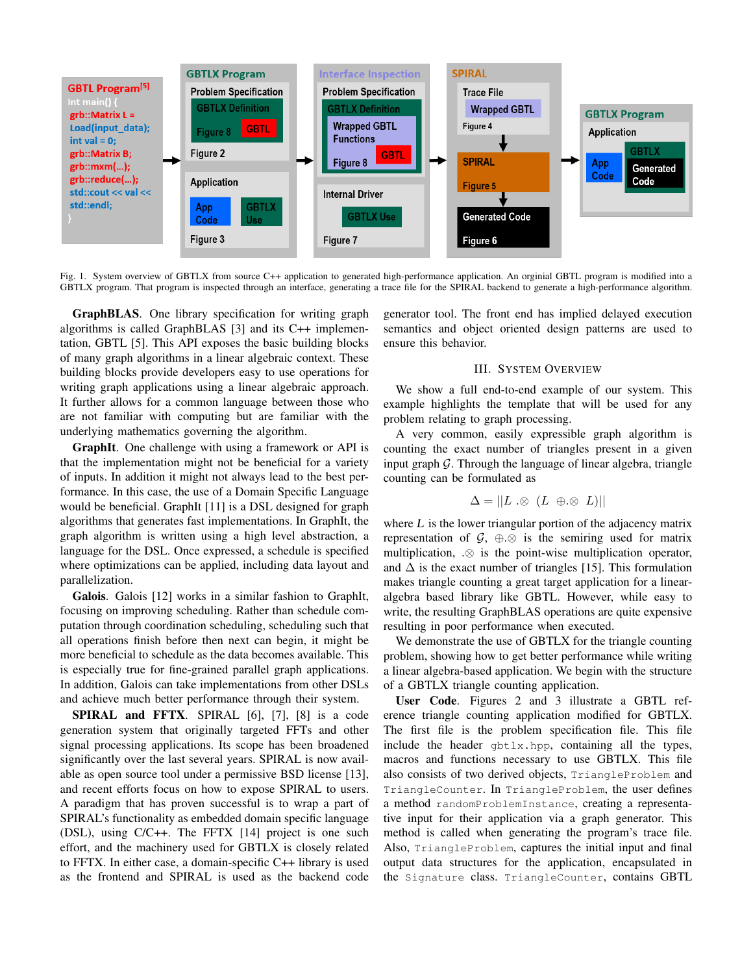

Fig. 1. System overview of GBTLX from source C++ application to generated high-performance application. An orginial GBTL program is modified into a GBTLX program. That program is inspected through an interface, generating a trace file for the SPIRAL backend to generate a high-performance algorithm.

GraphBLAS. One library specification for writing graph algorithms is called GraphBLAS [3] and its C++ implementation, GBTL [5]. This API exposes the basic building blocks of many graph algorithms in a linear algebraic context. These building blocks provide developers easy to use operations for writing graph applications using a linear algebraic approach. It further allows for a common language between those who are not familiar with computing but are familiar with the underlying mathematics governing the algorithm.

GraphIt. One challenge with using a framework or API is that the implementation might not be beneficial for a variety of inputs. In addition it might not always lead to the best performance. In this case, the use of a Domain Specific Language would be beneficial. GraphIt [11] is a DSL designed for graph algorithms that generates fast implementations. In GraphIt, the graph algorithm is written using a high level abstraction, a language for the DSL. Once expressed, a schedule is specified where optimizations can be applied, including data layout and parallelization.

Galois. Galois [12] works in a similar fashion to GraphIt, focusing on improving scheduling. Rather than schedule computation through coordination scheduling, scheduling such that all operations finish before then next can begin, it might be more beneficial to schedule as the data becomes available. This is especially true for fine-grained parallel graph applications. In addition, Galois can take implementations from other DSLs and achieve much better performance through their system.

SPIRAL and FFTX. SPIRAL [6], [7], [8] is a code generation system that originally targeted FFTs and other signal processing applications. Its scope has been broadened significantly over the last several years. SPIRAL is now available as open source tool under a permissive BSD license [13], and recent efforts focus on how to expose SPIRAL to users. A paradigm that has proven successful is to wrap a part of SPIRAL's functionality as embedded domain specific language (DSL), using C/C++. The FFTX [14] project is one such effort, and the machinery used for GBTLX is closely related to FFTX. In either case, a domain-specific C++ library is used as the frontend and SPIRAL is used as the backend code

generator tool. The front end has implied delayed execution semantics and object oriented design patterns are used to ensure this behavior.

# III. SYSTEM OVERVIEW

We show a full end-to-end example of our system. This example highlights the template that will be used for any problem relating to graph processing.

A very common, easily expressible graph algorithm is counting the exact number of triangles present in a given input graph  $\mathcal G$ . Through the language of linear algebra, triangle counting can be formulated as

$$
\Delta = ||L \otimes (L \oplus \otimes L)||
$$

where  $L$  is the lower triangular portion of the adjacency matrix representation of  $\mathcal{G}, \oplus \otimes$  is the semiring used for matrix multiplication, .⊗ is the point-wise multiplication operator, and  $\Delta$  is the exact number of triangles [15]. This formulation makes triangle counting a great target application for a linearalgebra based library like GBTL. However, while easy to write, the resulting GraphBLAS operations are quite expensive resulting in poor performance when executed.

We demonstrate the use of GBTLX for the triangle counting problem, showing how to get better performance while writing a linear algebra-based application. We begin with the structure of a GBTLX triangle counting application.

User Code. Figures 2 and 3 illustrate a GBTL reference triangle counting application modified for GBTLX. The first file is the problem specification file. This file include the header gbtlx.hpp, containing all the types, macros and functions necessary to use GBTLX. This file also consists of two derived objects, TriangleProblem and TriangleCounter. In TriangleProblem, the user defines a method randomProblemInstance, creating a representative input for their application via a graph generator. This method is called when generating the program's trace file. Also, TriangleProblem, captures the initial input and final output data structures for the application, encapsulated in the Signature class. TriangleCounter, contains GBTL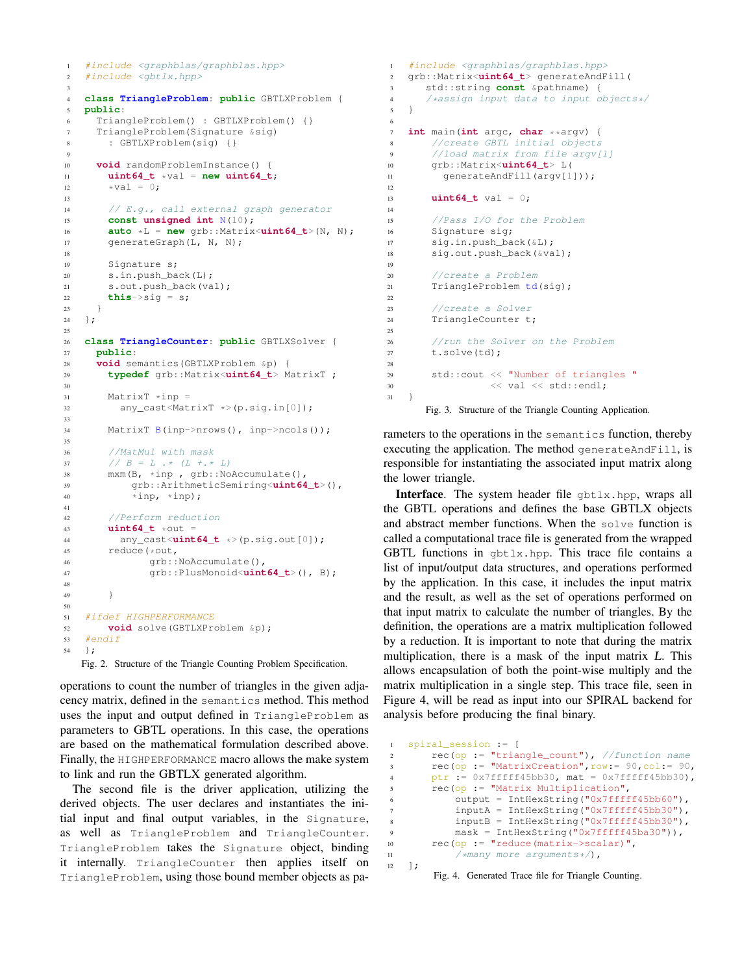```
1 #include <graphblas/graphblas.hpp>
\frac{1}{2} #include <qbtlx.hpp>
3
4 class TriangleProblem: public GBTLXProblem {
5 public:
6 TriangleProblem() : GBTLXProblem() {}
7 TriangleProblem(Signature &sig)
8 : GBTLXProblem(sig) {}
9
10 void randomProblemInstance() {
11 uint64_t *val = new uint64_t;<br>\begin{aligned} \text{with } \mathbf{u} & = \mathbf{u} \times \mathbf{v} = \mathbf{u} \times \mathbf{v} = \mathbf{u} \times \mathbf{v} = \mathbf{u} \times \mathbf{v} = \mathbf{u} \times \mathbf{v} = \mathbf{u} \times \mathbf{v} = \mathbf{u} \times \mathbf{v} = \mathbf{u} \times \mathbf{v} = \mathbf{u} \times \mathbf{v} = \mathbf{u} \times \mathbf{v} = \mathbf{u} \times \mathbf{v} =\starval = 0:
13
14 // E.g., call external graph generator
15 const unsigned int N(10);
16 auto *L = new qrb::Matrix<uint64_t>(N, N);
17 generateGraph(L, N, N);
18
19 Signature s;
20 s.in.push_back(L);
21 s.out.push_back(val);
22 this->sig = s;
23 }
24 };
25
26 class TriangleCounter: public GBTLXSolver {
27 public:
28 void semantics(GBTLXProblem &p) {
29 typedef grb::Matrix<uint64_t> MatrixT ;
30
31 MatrixT \starinp =
32 any_cast<MatrixT *>(p.sig.in[0]);
33
34 MatrixT B(inp->nrows(), inp->ncols());
35
36 //MatMul with mask
37 \frac{1}{B} = L \cdot * (L + * L)<br>38 mxm(B, *inp, qrb::No.
         mxm(B, *inp , grb::NoAccumulate(),
39 grb::ArithmeticSemiring<uint64_t>(),
40 *inp, *inp);41
42 //Perform reduction
43 uint64_t *out =
44 any_cast<uint64_t *>(p.sig.out[0]);<br>the reduce (*out.
45 reduce(*out,<br>46 arb::
                 grb::NoAccumulate(),
47 grb::PlusMonoid<uint64_t>(), B);
48
49 }
50
51 #ifdef HIGHPERFORMANCE
52 void solve(GBTLXProblem &p);
53 #endif
54 \quad \}:
```
Fig. 2. Structure of the Triangle Counting Problem Specification.

operations to count the number of triangles in the given adjacency matrix, defined in the semantics method. This method uses the input and output defined in TriangleProblem as parameters to GBTL operations. In this case, the operations are based on the mathematical formulation described above. Finally, the HIGHPERFORMANCE macro allows the make system to link and run the GBTLX generated algorithm.

The second file is the driver application, utilizing the derived objects. The user declares and instantiates the initial input and final output variables, in the Signature, as well as TriangleProblem and TriangleCounter. TriangleProblem takes the Signature object, binding it internally. TriangleCounter then applies itself on TriangleProblem, using those bound member objects as pa-

```
1 #include <graphblas/graphblas.hpp>
2 grb::Matrix<uint64_t> generateAndFill(
3 std::string const &pathname) {
4 /*assign input data to input objects*/
   \rightarrow6
7 int main(int argc, char **argv) {
     8 //create GBTL initial objects
9 //load matrix from file argv[1]
10 grb::Matrix<uint64_t> L(
11 generateAndFill(argv[1]));
12
13 uint64_t val = 0;
14
15 //Pass I/O for the Problem
16 Signature sig;
17 sig.in.push_back(&L);
18 sig.out.push_back(&val);
19
20 //create a Problem
21 TriangleProblem td(sig);
2223 //create a Solver
24 TriangleCounter t;
25
26 //run the Solver on the Problem
27 t.solve(td);
28
29 std::cout << "Number of triangles "
30 << val << std::endl;
31 }
      Fig. 3. Structure of the Triangle Counting Application.
```
rameters to the operations in the semantics function, thereby executing the application. The method generateAndFill, is responsible for instantiating the associated input matrix along the lower triangle.

Interface. The system header file gbtlx.hpp, wraps all the GBTL operations and defines the base GBTLX objects and abstract member functions. When the solve function is called a computational trace file is generated from the wrapped GBTL functions in gbtlx.hpp. This trace file contains a list of input/output data structures, and operations performed by the application. In this case, it includes the input matrix and the result, as well as the set of operations performed on that input matrix to calculate the number of triangles. By the definition, the operations are a matrix multiplication followed by a reduction. It is important to note that during the matrix multiplication, there is a mask of the input matrix L. This allows encapsulation of both the point-wise multiply and the matrix multiplication in a single step. This trace file, seen in Figure 4, will be read as input into our SPIRAL backend for analysis before producing the final binary.

```
1 spiral_session := [
2 rec(op := "triangle_count"), //function name
3 rec(op := "MatrixCreation",row:= 90,col:= 90,
4 ptr := 0x7fffff45bb30, mat = 0x7fffff45bb30,
       5 rec(op := "Matrix Multiplication",
6 output = IntHexString("0x7fffff45bb60"),
          inputA = IntHexString("0x7fffff45bb30"),
          inputB = IntHexString("0x7fffff45bb30"),
9 mask = IntHexString("0x7fffff45ba30")),
10 rec(op := "reduce(matrix->scalar)",
11 \sqrt{m}any more arguments*/),
12 \quad \frac{1}{7}
```
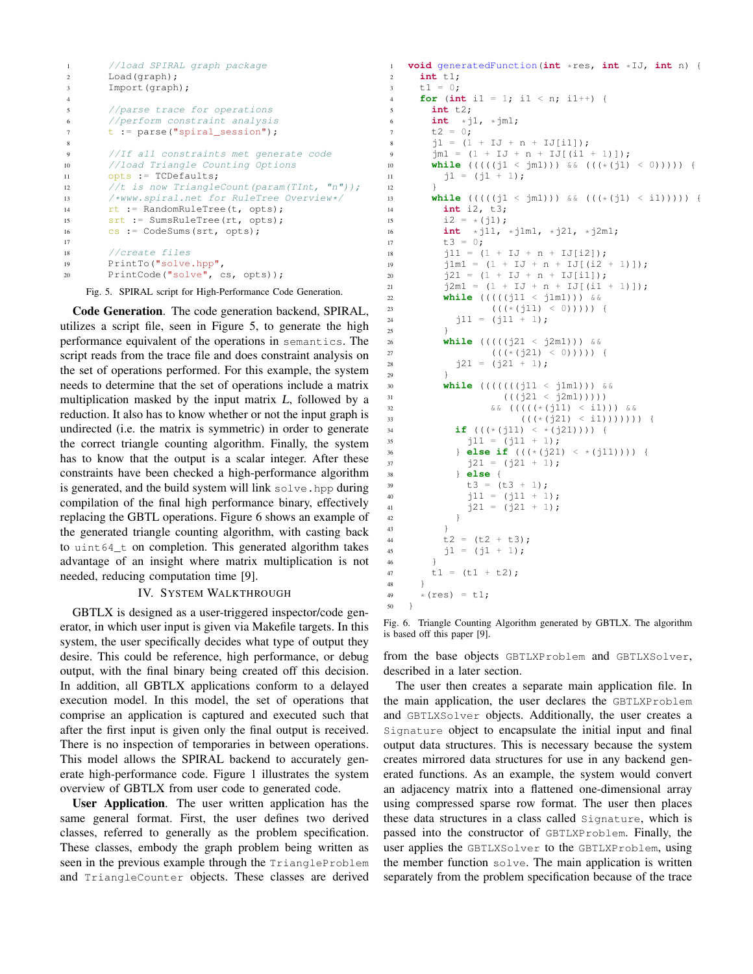```
1 //load SPIRAL graph package
2 Load(graph);
3 Import(graph);
4
5 //parse trace for operations
6 //perform constraint analysis
7 t := parse("spiral_session");
8
9 //If all constraints met generate code
10 //load Triangle Counting Options
11 opts := TCDefaults;
12 //t is now TriangleCount (param(TInt, "n"));
13 /*www.spiral.net for RuleTree Overview*/
14 rt := RandomRuleTree(t, opts);
15 srt := SumsRuleTree(rt, opts);
16 cs := CodeSums(srt, opts);
17
18 //create files
19 PrintTo("solve.hpp",
20 PrintCode("solve", cs, opts));
```
<sup>12</sup> }

Fig. 5. SPIRAL script for High-Performance Code Generation.

Code Generation. The code generation backend, SPIRAL, utilizes a script file, seen in Figure 5, to generate the high performance equivalent of the operations in semantics. The script reads from the trace file and does constraint analysis on the set of operations performed. For this example, the system needs to determine that the set of operations include a matrix multiplication masked by the input matrix L, followed by a reduction. It also has to know whether or not the input graph is undirected (i.e. the matrix is symmetric) in order to generate the correct triangle counting algorithm. Finally, the system has to know that the output is a scalar integer. After these constraints have been checked a high-performance algorithm is generated, and the build system will link solve.hpp during compilation of the final high performance binary, effectively replacing the GBTL operations. Figure 6 shows an example of the generated triangle counting algorithm, with casting back to uint64\_t on completion. This generated algorithm takes advantage of an insight where matrix multiplication is not needed, reducing computation time [9].

# IV. SYSTEM WALKTHROUGH

GBTLX is designed as a user-triggered inspector/code generator, in which user input is given via Makefile targets. In this system, the user specifically decides what type of output they desire. This could be reference, high performance, or debug output, with the final binary being created off this decision. In addition, all GBTLX applications conform to a delayed execution model. In this model, the set of operations that comprise an application is captured and executed such that after the first input is given only the final output is received. There is no inspection of temporaries in between operations. This model allows the SPIRAL backend to accurately generate high-performance code. Figure 1 illustrates the system overview of GBTLX from user code to generated code.

User Application. The user written application has the same general format. First, the user defines two derived classes, referred to generally as the problem specification. These classes, embody the graph problem being written as seen in the previous example through the TriangleProblem and TriangleCounter objects. These classes are derived

```
1 void generatedFunction(int *res, int *IJ, int n) {
      2 int t1;
\ddot{x} \ddot{x} \ddot{x} \ddot{x} \ddot{x} \ddot{x} \ddot{x} \ddot{x} \ddot{x} \ddot{x} \ddot{x} \ddot{x} \ddot{x} \ddot{x} \ddot{x} \ddot{x} \ddot{x} \ddot{x} \ddot{x} \ddot{x} \ddot{x} \ddot{x} \ddot{x} \ddot{x} \ddot{x} \ddot{x} \ddot{x} \ddot{x4 for (int i1 = 1; i1 < n; i1++) {
5 int t2;
6 int *j1, *jm1;<br>7 t2 = 0:
         t2 = 0;8 j1 = (1 + IJ + n + IJ[i1]);
9 \frac{1}{2} jm1 = (1 + IJ + n + IJ[(i1 + 1)]);
10 while (((((j1 < jm1))) && (((*(j1) < 0))))) {
11 j1 = (j1 + 1);13 while (((((j1 < jm1))) && (((*(j1) < i1))))) {
14 int i2, t3;
15 i2 = * (j1);16 int \star j11, \star j1m1, \star j21, \star j2m1;<br>17 t3 = 0;
           t3 = 0;18 j11 = (1 + IJ + n + IJ[i2]);19 j1m1 = (1 + IJ + n + IJ[(i2 + 1)]);20 j21 = (1 + IJ + n + IJ[i1]);21 j2m1 = (1 + IJ + n + IJ[(i1 + 1)]);22 while (((((j11 < j1m1))) &&
23 (((*(j11) < 0)))) {<br>
24 \overline{11} = (\overline{11} + 1):
              j11 = (j11 + 1);25 }
26 while (((((j21 < j2m1))) &&
27 ((*(j21) < 0)))) {<br>
28 j21 = (j21 + 1);j21 = (j21 + 1);29 }
30 while (((((((j11 < j1m1))) &&
31 (((j21 < j2m1)))))
32 \&\&\left(\left(\left(\left(\left(\frac{1}{2}\right)1\right) < 11\right)\right)\right) \&\&\&\left(\left(\left(\frac{1}{2}\right) < 11\right)\right)\right) \&\&\&\left(\left(\frac{1}{2}\right) < 11\right)\right)((((\star(j21) \leq \pm 1))))))34 if (((*(j11) < *(j21)))) {
j11 = (j11 + 1);36 } else if (((*(j21) < *(j11)))) {
j21 = (j21 + 1);38 } else {
39 t3 = (t3 + 1);40 j11 = (j11 + 1);41 j21 = (j21 + 1);\hspace{1.6cm} 42 \hspace{1.2cm} \}43 }
44 t2 = (t2 + t3);45 j1 = (j1 + 1);46 }
47 t1 = (t1 + t2);48 }
49 *(res) = t1;\}
```
Fig. 6. Triangle Counting Algorithm generated by GBTLX. The algorithm is based off this paper [9].

from the base objects GBTLXProblem and GBTLXSolver, described in a later section.

The user then creates a separate main application file. In the main application, the user declares the GBTLXProblem and GBTLXSolver objects. Additionally, the user creates a Signature object to encapsulate the initial input and final output data structures. This is necessary because the system creates mirrored data structures for use in any backend generated functions. As an example, the system would convert an adjacency matrix into a flattened one-dimensional array using compressed sparse row format. The user then places these data structures in a class called Signature, which is passed into the constructor of GBTLXProblem. Finally, the user applies the GBTLXSolver to the GBTLXProblem, using the member function solve. The main application is written separately from the problem specification because of the trace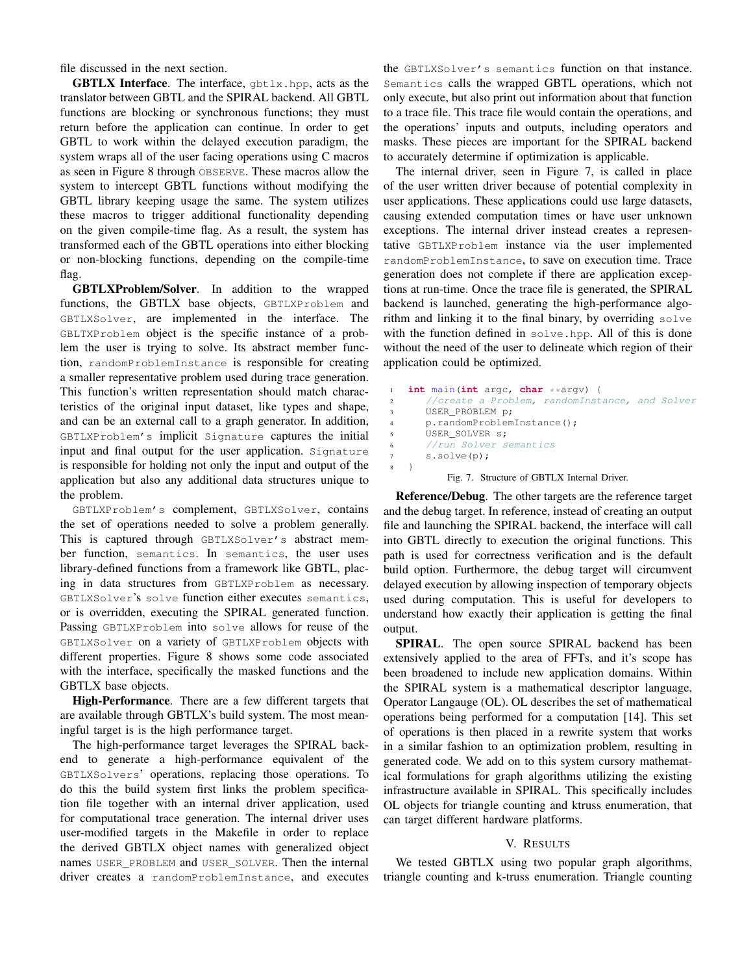file discussed in the next section.

**GBTLX Interface.** The interface,  $q$ btlx.hpp, acts as the translator between GBTL and the SPIRAL backend. All GBTL functions are blocking or synchronous functions; they must return before the application can continue. In order to get GBTL to work within the delayed execution paradigm, the system wraps all of the user facing operations using C macros as seen in Figure 8 through OBSERVE. These macros allow the system to intercept GBTL functions without modifying the GBTL library keeping usage the same. The system utilizes these macros to trigger additional functionality depending on the given compile-time flag. As a result, the system has transformed each of the GBTL operations into either blocking or non-blocking functions, depending on the compile-time flag.

GBTLXProblem/Solver. In addition to the wrapped functions, the GBTLX base objects, GBTLXProblem and GBTLXSolver, are implemented in the interface. The GBLTXProblem object is the specific instance of a problem the user is trying to solve. Its abstract member function, randomProblemInstance is responsible for creating a smaller representative problem used during trace generation. This function's written representation should match characteristics of the original input dataset, like types and shape, and can be an external call to a graph generator. In addition, GBTLXProblem's implicit Signature captures the initial input and final output for the user application. Signature is responsible for holding not only the input and output of the application but also any additional data structures unique to the problem.

GBTLXProblem's complement, GBTLXSolver, contains the set of operations needed to solve a problem generally. This is captured through GBTLXSolver's abstract member function, semantics. In semantics, the user uses library-defined functions from a framework like GBTL, placing in data structures from GBTLXProblem as necessary. GBTLXSolver's solve function either executes semantics, or is overridden, executing the SPIRAL generated function. Passing GBTLXProblem into solve allows for reuse of the GBTLXSolver on a variety of GBTLXProblem objects with different properties. Figure 8 shows some code associated with the interface, specifically the masked functions and the GBTLX base objects.

High-Performance. There are a few different targets that are available through GBTLX's build system. The most meaningful target is is the high performance target.

The high-performance target leverages the SPIRAL backend to generate a high-performance equivalent of the GBTLXSolvers' operations, replacing those operations. To do this the build system first links the problem specification file together with an internal driver application, used for computational trace generation. The internal driver uses user-modified targets in the Makefile in order to replace the derived GBTLX object names with generalized object names USER\_PROBLEM and USER\_SOLVER. Then the internal driver creates a randomProblemInstance, and executes the GBTLXSolver's semantics function on that instance. Semantics calls the wrapped GBTL operations, which not only execute, but also print out information about that function to a trace file. This trace file would contain the operations, and the operations' inputs and outputs, including operators and masks. These pieces are important for the SPIRAL backend to accurately determine if optimization is applicable.

The internal driver, seen in Figure 7, is called in place of the user written driver because of potential complexity in user applications. These applications could use large datasets, causing extended computation times or have user unknown exceptions. The internal driver instead creates a representative GBTLXProblem instance via the user implemented randomProblemInstance, to save on execution time. Trace generation does not complete if there are application exceptions at run-time. Once the trace file is generated, the SPIRAL backend is launched, generating the high-performance algorithm and linking it to the final binary, by overriding solve with the function defined in solve.hpp. All of this is done without the need of the user to delineate which region of their application could be optimized.

```
int main(int argc, char **argv) {
      //create a Problem, randomInstance, and Solver
      3 USER_PROBLEM p;
      4 p.randomProblemInstance();
      5 USER_SOLVER s;
      6 //run Solver semantics
      s.solve(p);
8 }
```
Fig. 7. Structure of GBTLX Internal Driver.

Reference/Debug. The other targets are the reference target and the debug target. In reference, instead of creating an output file and launching the SPIRAL backend, the interface will call into GBTL directly to execution the original functions. This path is used for correctness verification and is the default build option. Furthermore, the debug target will circumvent delayed execution by allowing inspection of temporary objects used during computation. This is useful for developers to understand how exactly their application is getting the final output.

SPIRAL. The open source SPIRAL backend has been extensively applied to the area of FFTs, and it's scope has been broadened to include new application domains. Within the SPIRAL system is a mathematical descriptor language, Operator Langauge (OL). OL describes the set of mathematical operations being performed for a computation [14]. This set of operations is then placed in a rewrite system that works in a similar fashion to an optimization problem, resulting in generated code. We add on to this system cursory mathematical formulations for graph algorithms utilizing the existing infrastructure available in SPIRAL. This specifically includes OL objects for triangle counting and ktruss enumeration, that can target different hardware platforms.

## V. RESULTS

We tested GBTLX using two popular graph algorithms, triangle counting and k-truss enumeration. Triangle counting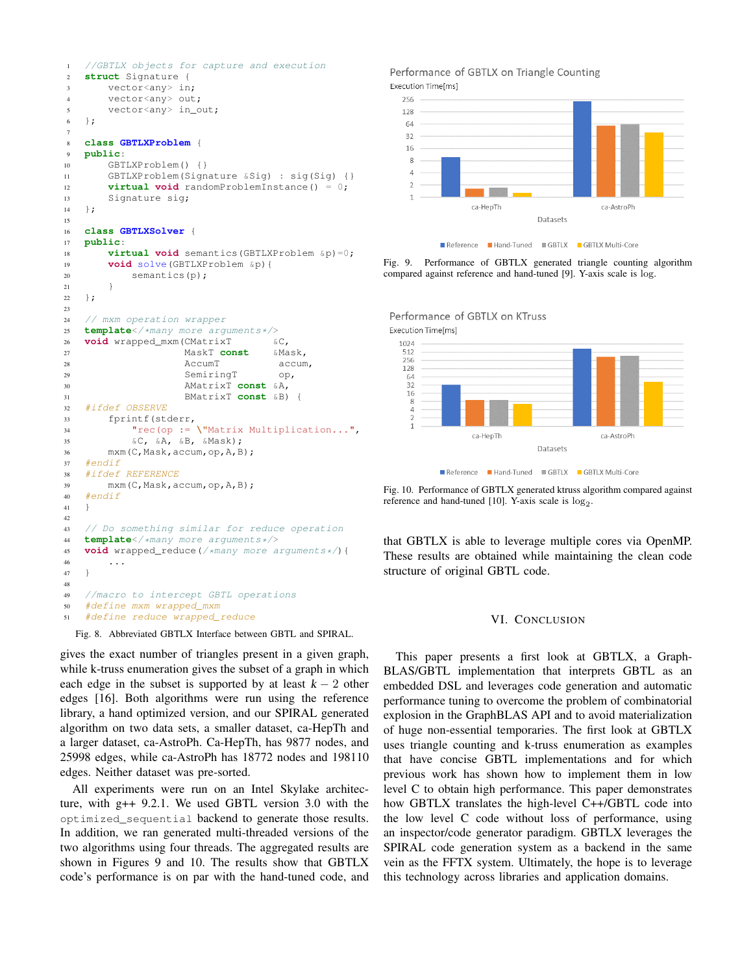```
1 //GBTLX objects for capture and execution
2 struct Signature {
3 vector<any> in;
4 vector<any> out;
5 vector<any> in_out;
6 };
7
8 class GBTLXProblem {
9 public:
10 GBTLXProblem() {}
11 GBTLXProblem(Signature &Sig) : sig(Sig) {}
12 virtual void randomProblemInstance() = 0;
13 Signature sig;
14 \quad \frac{1}{2}15
16 class GBTLXSolver {
17 public:
18 virtual void semantics(GBTLXProblem &p)=0;
19 void solve(GBTLXProblem &p){
20 semantics(p);
21 }
22 };
23
24 // mxm operation wrapper
25 template</*many more arguments*/><br>26 void wrapped mxm(CMatrixT 6C.
   void wrapped mxm (CMatrixT
27 MaskT const &Mask,
28 AccumT accum,
29 SemiringT op,
30 AMatrixT const &A,
31 BMatrixT const &B) {
32 #ifdef OBSERVE
33 fprintf(stderr,
34 "rec(op := \"Matrix Multiplication...",
35 \&C, \&A, \&B, \&Mask);
36 mxm(C,Mask,accum,op,A,B);
37 #endif
38 #ifdef REFERENCE
39 mxm(C,Mask,accum,op,A,B);
40 #endif
41 }
42
43 // Do something similar for reduce operation
44 template</*many more arguments*/><br>45 void wrapped reduce(/*many more a
45 void wrapped_reduce(/*many more arguments*/){
       46 ...
47 }
48
49 //macro to intercept GBTL operations
50 #define mxm wrapped_mxm
51 #define reduce wrapped_reduce
```
Fig. 8. Abbreviated GBTLX Interface between GBTL and SPIRAL.

gives the exact number of triangles present in a given graph, while k-truss enumeration gives the subset of a graph in which each edge in the subset is supported by at least  $k - 2$  other edges [16]. Both algorithms were run using the reference library, a hand optimized version, and our SPIRAL generated algorithm on two data sets, a smaller dataset, ca-HepTh and a larger dataset, ca-AstroPh. Ca-HepTh, has 9877 nodes, and 25998 edges, while ca-AstroPh has 18772 nodes and 198110 edges. Neither dataset was pre-sorted.

All experiments were run on an Intel Skylake architecture, with g++ 9.2.1. We used GBTL version 3.0 with the optimized\_sequential backend to generate those results. In addition, we ran generated multi-threaded versions of the two algorithms using four threads. The aggregated results are shown in Figures 9 and 10. The results show that GBTLX code's performance is on par with the hand-tuned code, and

#### Performance of GBTLX on Triangle Counting Execution Time[ms]



Reference Hand-Tuned GBTLX GBTLX Multi-Core

Fig. 9. Performance of GBTLX generated triangle counting algorithm compared against reference and hand-tuned [9]. Y-axis scale is log.



Performance of GBTLX on KTruss

Reference Hand-Tuned MGBTLX GBTLX Multi-Core

Fig. 10. Performance of GBTLX generated ktruss algorithm compared against reference and hand-tuned [10]. Y-axis scale is  $log_2$ .

that GBTLX is able to leverage multiple cores via OpenMP. These results are obtained while maintaining the clean code structure of original GBTL code.

## VI. CONCLUSION

This paper presents a first look at GBTLX, a Graph-BLAS/GBTL implementation that interprets GBTL as an embedded DSL and leverages code generation and automatic performance tuning to overcome the problem of combinatorial explosion in the GraphBLAS API and to avoid materialization of huge non-essential temporaries. The first look at GBTLX uses triangle counting and k-truss enumeration as examples that have concise GBTL implementations and for which previous work has shown how to implement them in low level C to obtain high performance. This paper demonstrates how GBTLX translates the high-level C++/GBTL code into the low level C code without loss of performance, using an inspector/code generator paradigm. GBTLX leverages the SPIRAL code generation system as a backend in the same vein as the FFTX system. Ultimately, the hope is to leverage this technology across libraries and application domains.